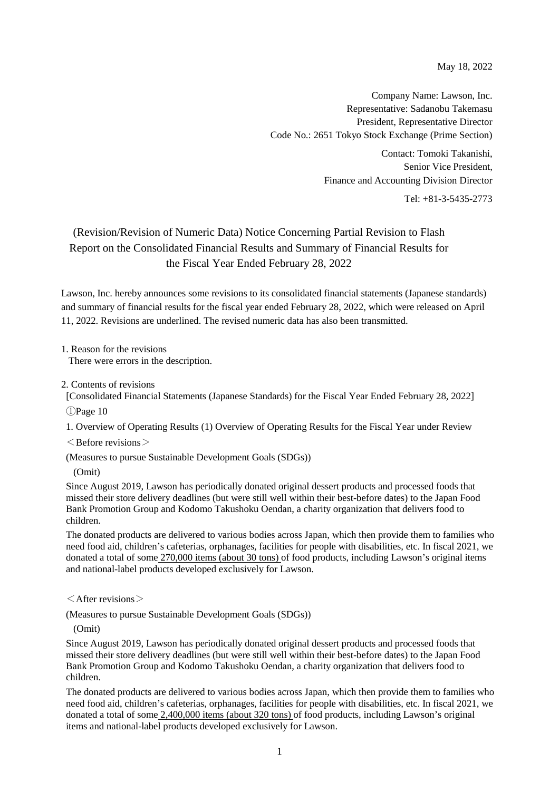May 18, 2022

Company Name: Lawson, Inc. Representative: Sadanobu Takemasu President, Representative Director Code No.: 2651 Tokyo Stock Exchange (Prime Section)

> Contact: Tomoki Takanishi, Senior Vice President, Finance and Accounting Division Director

> > Tel: +81-3-5435-2773

# (Revision/Revision of Numeric Data) Notice Concerning Partial Revision to Flash Report on the Consolidated Financial Results and Summary of Financial Results for the Fiscal Year Ended February 28, 2022

Lawson, Inc. hereby announces some revisions to its consolidated financial statements (Japanese standards) and summary of financial results for the fiscal year ended February 28, 2022, which were released on April 11, 2022. Revisions are underlined. The revised numeric data has also been transmitted.

1. Reason for the revisions There were errors in the description.

2. Contents of revisions

[Consolidated Financial Statements (Japanese Standards) for the Fiscal Year Ended February 28, 2022]

①Page 10

1. Overview of Operating Results (1) Overview of Operating Results for the Fiscal Year under Review

 $\leq$  Before revisions  $\geq$ 

(Measures to pursue Sustainable Development Goals (SDGs))

(Omit)

Since August 2019, Lawson has periodically donated original dessert products and processed foods that missed their store delivery deadlines (but were still well within their best-before dates) to the Japan Food Bank Promotion Group and Kodomo Takushoku Oendan, a charity organization that delivers food to children.

The donated products are delivered to various bodies across Japan, which then provide them to families who need food aid, children's cafeterias, orphanages, facilities for people with disabilities, etc. In fiscal 2021, we donated a total of some 270,000 items (about 30 tons) of food products, including Lawson's original items and national-label products developed exclusively for Lawson.

 $\leq$  After revisions  $>$ 

(Measures to pursue Sustainable Development Goals (SDGs))

(Omit)

Since August 2019, Lawson has periodically donated original dessert products and processed foods that missed their store delivery deadlines (but were still well within their best-before dates) to the Japan Food Bank Promotion Group and Kodomo Takushoku Oendan, a charity organization that delivers food to children.

The donated products are delivered to various bodies across Japan, which then provide them to families who need food aid, children's cafeterias, orphanages, facilities for people with disabilities, etc. In fiscal 2021, we donated a total of some 2,400,000 items (about 320 tons) of food products, including Lawson's original items and national-label products developed exclusively for Lawson.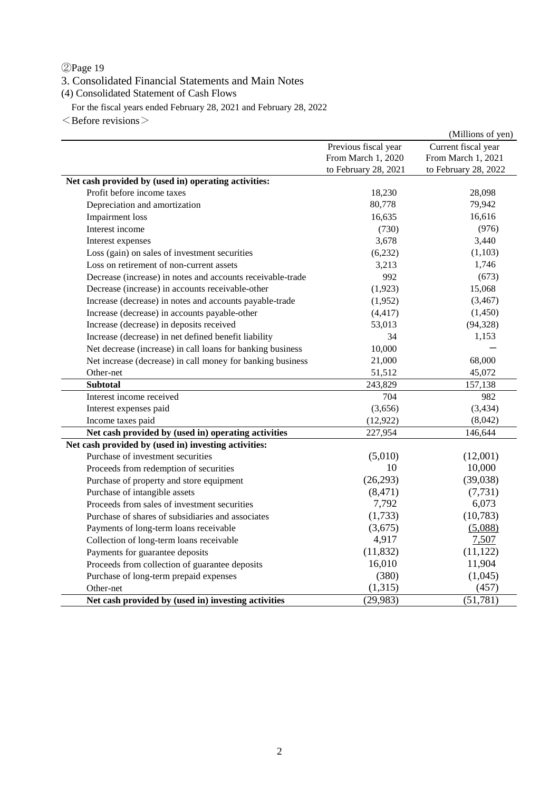## ②Page 19

3. Consolidated Financial Statements and Main Notes

(4) Consolidated Statement of Cash Flows

For the fiscal years ended February 28, 2021 and February 28, 2022

 $\leq$  Before revisions  $\geq$ 

|                                                            |                      | (Millions of yen)    |
|------------------------------------------------------------|----------------------|----------------------|
|                                                            | Previous fiscal year | Current fiscal year  |
|                                                            | From March 1, 2020   | From March 1, 2021   |
|                                                            | to February 28, 2021 | to February 28, 2022 |
| Net cash provided by (used in) operating activities:       |                      |                      |
| Profit before income taxes                                 | 18,230               | 28,098               |
| Depreciation and amortization                              | 80,778               | 79,942               |
| <b>Impairment</b> loss                                     | 16,635               | 16,616               |
| Interest income                                            | (730)                | (976)                |
| Interest expenses                                          | 3,678                | 3,440                |
| Loss (gain) on sales of investment securities              | (6,232)              | (1,103)              |
| Loss on retirement of non-current assets                   | 3,213                | 1,746                |
| Decrease (increase) in notes and accounts receivable-trade | 992                  | (673)                |
| Decrease (increase) in accounts receivable-other           | (1,923)              | 15,068               |
| Increase (decrease) in notes and accounts payable-trade    | (1,952)              | (3, 467)             |
| Increase (decrease) in accounts payable-other              | (4, 417)             | (1,450)              |
| Increase (decrease) in deposits received                   | 53,013               | (94, 328)            |
| Increase (decrease) in net defined benefit liability       | 34                   | 1,153                |
| Net decrease (increase) in call loans for banking business | 10,000               |                      |
| Net increase (decrease) in call money for banking business | 21,000               | 68,000               |
| Other-net                                                  | 51,512               | 45,072               |
| Subtotal                                                   | 243,829              | 157,138              |
| Interest income received                                   | 704                  | 982                  |
| Interest expenses paid                                     | (3,656)              | (3,434)              |
| Income taxes paid                                          | (12, 922)            | (8,042)              |
| Net cash provided by (used in) operating activities        | 227,954              | 146,644              |
| Net cash provided by (used in) investing activities:       |                      |                      |
| Purchase of investment securities                          | (5,010)              | (12,001)             |
| Proceeds from redemption of securities                     | 10                   | 10,000               |
| Purchase of property and store equipment                   | (26,293)             | (39,038)             |
| Purchase of intangible assets                              | (8, 471)             | (7, 731)             |
| Proceeds from sales of investment securities               | 7,792                | 6,073                |
| Purchase of shares of subsidiaries and associates          | (1,733)              | (10,783)             |
| Payments of long-term loans receivable                     | (3,675)              | (5,088)              |
| Collection of long-term loans receivable                   | 4,917                | 7,507                |
| Payments for guarantee deposits                            | (11, 832)            | (11, 122)            |
| Proceeds from collection of guarantee deposits             | 16,010               | 11,904               |
| Purchase of long-term prepaid expenses                     | (380)                | (1,045)              |
| Other-net                                                  | (1,315)              | (457)                |
| Net cash provided by (used in) investing activities        | (29, 983)            | (51, 781)            |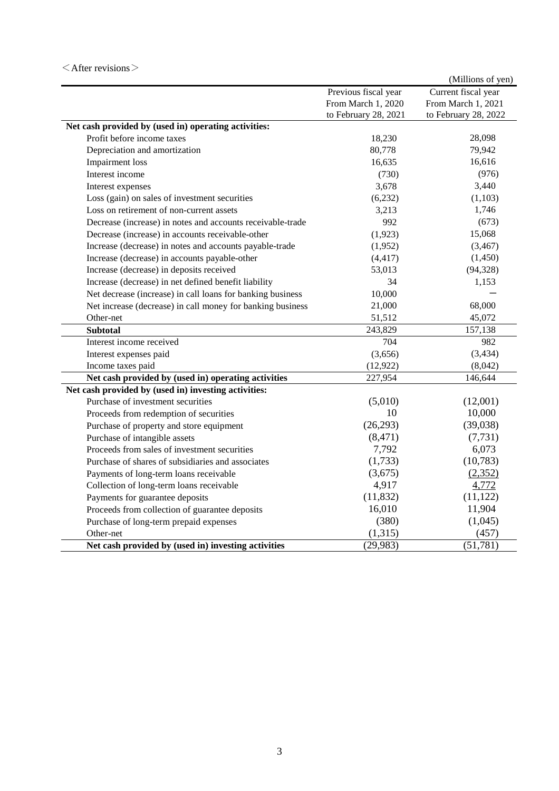### $\leq$ After revisions $>$

|                                                            |                      | (Millions of yen)    |
|------------------------------------------------------------|----------------------|----------------------|
|                                                            | Previous fiscal year | Current fiscal year  |
|                                                            | From March 1, 2020   | From March 1, 2021   |
|                                                            | to February 28, 2021 | to February 28, 2022 |
| Net cash provided by (used in) operating activities:       |                      |                      |
| Profit before income taxes                                 | 18,230               | 28,098               |
| Depreciation and amortization                              | 80,778               | 79,942               |
| Impairment loss                                            | 16,635               | 16,616               |
| Interest income                                            | (730)                | (976)                |
| Interest expenses                                          | 3,678                | 3,440                |
| Loss (gain) on sales of investment securities              | (6,232)              | (1,103)              |
| Loss on retirement of non-current assets                   | 3,213                | 1,746                |
| Decrease (increase) in notes and accounts receivable-trade | 992                  | (673)                |
| Decrease (increase) in accounts receivable-other           | (1,923)              | 15,068               |
| Increase (decrease) in notes and accounts payable-trade    | (1,952)              | (3, 467)             |
| Increase (decrease) in accounts payable-other              | (4, 417)             | (1,450)              |
| Increase (decrease) in deposits received                   | 53,013               | (94, 328)            |
| Increase (decrease) in net defined benefit liability       | 34                   | 1,153                |
| Net decrease (increase) in call loans for banking business | 10,000               |                      |
| Net increase (decrease) in call money for banking business | 21,000               | 68,000               |
| Other-net                                                  | 51,512               | 45,072               |
| <b>Subtotal</b>                                            | 243,829              | 157,138              |
| Interest income received                                   | 704                  | 982                  |
| Interest expenses paid                                     | (3,656)              | (3, 434)             |
| Income taxes paid                                          | (12, 922)            | (8,042)              |
| Net cash provided by (used in) operating activities        | 227,954              | 146,644              |
| Net cash provided by (used in) investing activities:       |                      |                      |
| Purchase of investment securities                          | (5,010)              | (12,001)             |
| Proceeds from redemption of securities                     | 10                   | 10,000               |
| Purchase of property and store equipment                   | (26, 293)            | (39,038)             |
| Purchase of intangible assets                              | (8, 471)             | (7, 731)             |
| Proceeds from sales of investment securities               | 7,792                | 6,073                |
| Purchase of shares of subsidiaries and associates          | (1,733)              | (10, 783)            |
| Payments of long-term loans receivable                     | (3,675)              | (2,352)              |
| Collection of long-term loans receivable                   | 4,917                | 4,772                |
| Payments for guarantee deposits                            | (11, 832)            | (11, 122)            |
| Proceeds from collection of guarantee deposits             | 16,010               | 11,904               |
| Purchase of long-term prepaid expenses                     | (380)                | (1,045)              |
| Other-net                                                  | (1,315)              | (457)                |
| Net cash provided by (used in) investing activities        | (29, 983)            | (51, 781)            |